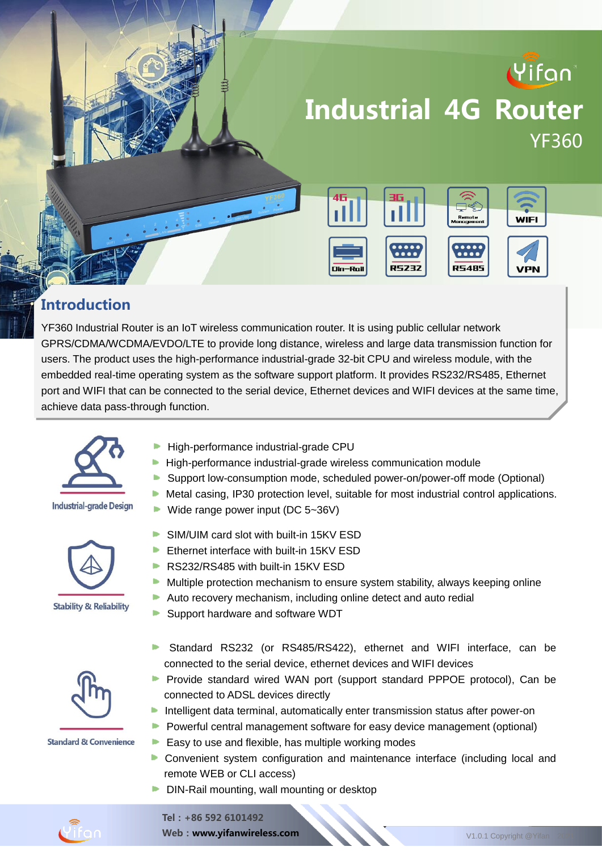

#### **Introduction**

YF360 Industrial Router is an IoT wireless communication router. It is using public cellular network GPRS/CDMA/WCDMA/EVDO/LTE to provide long distance, wireless and large data transmission function for users. The product uses the high-performance industrial-grade 32-bit CPU and wireless module, with the embedded real-time operating system as the software support platform. It provides RS232/RS485, Ethernet port and WIFI that can be connected to the serial device, Ethernet devices and WIFI devices at the same time, achieve data pass-through function.

. The product has been widely used in the M2M industry of the IoT industry of the IoT industrial chain, such as small chain, such as small chain, such as small chain, such as small chain, such as small chain, such as smal



#### **Industrial-grade Design**





**Standard & Convenience** 

- intelligent transportation, smart manufacturing, smart home, and finance. High-performance industrial-grade CPU
	- **High-performance industrial-grade wireless communication module**
	- Support low-consumption mode, scheduled power-on/power-off mode (Optional)
	- $\blacktriangleright$  Metal casing, IP30 protection level, suitable for most industrial control applications.
	- ▶ Wide range power input ( $DC$  5~36V)
	- SIM/UIM card slot with built-in 15KV ESD
	- **Ethernet interface with built-in 15KV ESD**
	- RS232/RS485 with built-in 15KV ESD
	- $\blacktriangleright$  Multiple protection mechanism to ensure system stability, always keeping online
	- Auto recovery mechanism, including online detect and auto redial
	- Support hardware and software WDT
	- Standard RS232 (or RS485/RS422), ethernet and WIFI interface, can be connected to the serial device, ethernet devices and WIFI devices
	- **Provide standard wired WAN port (support standard PPPOE protocol), Can be** connected to ADSL devices directly
	- **Intelligent data terminal, automatically enter transmission status after power-on**
	- **Powerful central management software for easy device management (optional)**
	- Easy to use and flexible, has multiple working modes
	- **•** Convenient system configuration and maintenance interface (including local and remote WEB or CLI access)
	- DIN-Rail mounting, wall mounting or desktop



Web: www.yifanwireless.com V1.0.1 Copyright @Yifan 2021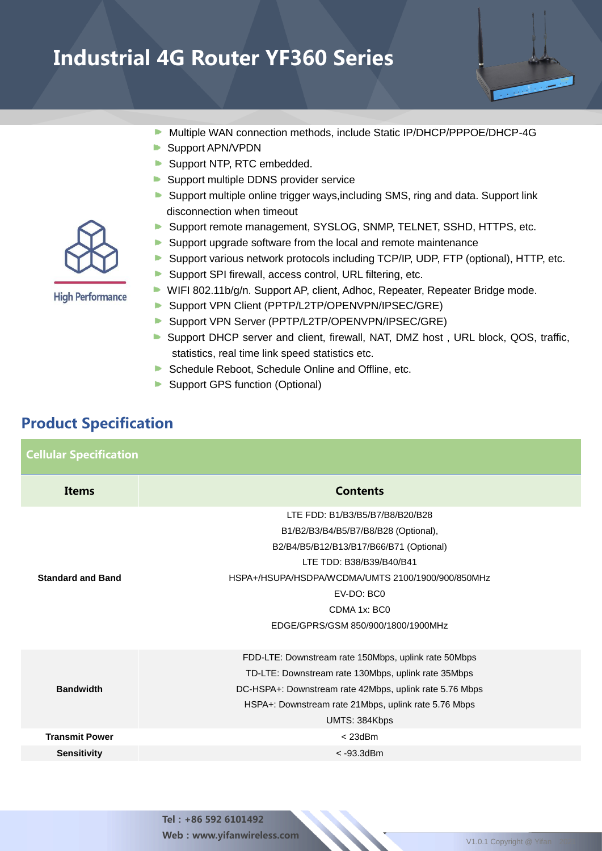- Multiple WAN connection methods, include Static IP/DHCP/PPPOE/DHCP-4G **D**
- Support APN/VPDN
- Support NTP, RTC embedded.
- Support multiple DDNS provider service
- Support multiple online trigger ways, including SMS, ring and data. Support link disconnection when timeout
- **Support remote management, SYSLOG, SNMP, TELNET, SSHD, HTTPS, etc.**
- Support upgrade software from the local and remote maintenance
- $\blacktriangleright$ Support various network protocols including TCP/IP, UDP, FTP (optional), HTTP, etc.
- Support SPI firewall, access control, URL filtering, etc.
- WIFI 802.11b/g/n. Support AP, client, Adhoc, Repeater, Repeater Bridge mode.
- Support VPN Client (PPTP/L2TP/OPENVPN/IPSEC/GRE)
- Support VPN Server (PPTP/L2TP/OPENVPN/IPSEC/GRE)
- Support DHCP server and client, firewall, NAT, DMZ host, URL block, QOS, traffic, statistics, real time link speed statistics etc.
- Schedule Reboot, Schedule Online and Offline, etc.
- Support GPS function (Optional)

#### Product Specification

| <b>Cellular Specification</b> |                                                                                                                                                                                                                                                                         |
|-------------------------------|-------------------------------------------------------------------------------------------------------------------------------------------------------------------------------------------------------------------------------------------------------------------------|
| Items                         | <b>Contents</b>                                                                                                                                                                                                                                                         |
| <b>Standard and Band</b>      | LTE FDD: B1/B3/B5/B7/B8/B20/B28<br>B1/B2/B3/B4/B5/B7/B8/B28 (Optional),<br>B2/B4/B5/B12/B13/B17/B66/B71 (Optional)<br>LTE TDD: B38/B39/B40/B41<br>HSPA+/HSUPA/HSDPA/WCDMA/UMTS 2100/1900/900/850MHz<br>EV-DO: BC0<br>CDMA 1x: BC0<br>EDGE/GPRS/GSM 850/900/1800/1900MHz |
| <b>Bandwidth</b>              | FDD-LTE: Downstream rate 150Mbps, uplink rate 50Mbps<br>TD-LTE: Downstream rate 130Mbps, uplink rate 35Mbps<br>DC-HSPA+: Downstream rate 42Mbps, uplink rate 5.76 Mbps<br>HSPA+: Downstream rate 21Mbps, uplink rate 5.76 Mbps<br>UMTS: 384Kbps                         |
| <b>Transmit Power</b>         | $<$ 23dBm                                                                                                                                                                                                                                                               |
| <b>Sensitivity</b>            | $< -93.3$ dBm                                                                                                                                                                                                                                                           |



**High Performance**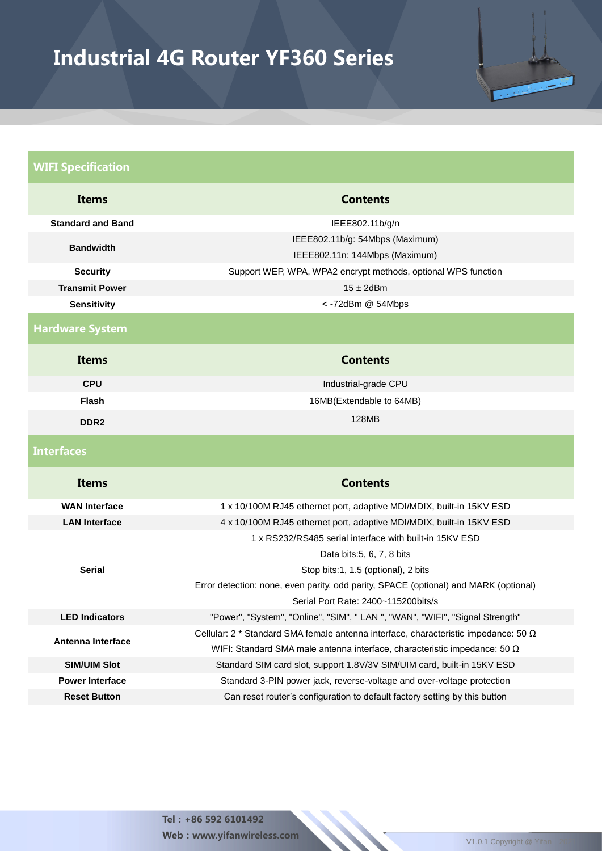

#### WIFI Specification **Items** Contents **Standard and Band IEEE802.11b/g/n Bandwidth** IEEE802.11b/g: 54Mbps (Maximum) IEEE802.11n: 144Mbps (Maximum) **Security** Support WEP, WPA, WPA2 encrypt methods, optional WPS function **Transmit Power** 15 ± 2dBm **Sensitivity** < -72dBm @ 54Mbps Hardware System **Items Contents CPU Industrial-grade CPU Flash** 16MB(Extendable to 64MB) **DDR2** 128MB **Interfaces** Items Contents **WAN Interface** 1 x 10/100M RJ45 ethernet port, adaptive MDI/MDIX, built-in 15KV ESD LAN Interface 4 x 10/100M RJ45 ethernet port, adaptive MDI/MDIX, built-in 15KV ESD **Serial** 1 x RS232/RS485 serial interface with built-in 15KV ESD Data bits:5, 6, 7, 8 bits Stop bits:1, 1.5 (optional), 2 bits Error detection: none, even parity, odd parity, SPACE (optional) and MARK (optional) Serial Port Rate: 2400~115200bits/s **LED Indicators** "Power", "System", "Online", "SIM", " LAN ", "WAN", "WIFI", "Signal Strength" **Antenna Interface** Cellular: 2 \* Standard SMA female antenna interface, characteristic impedance: 50 Ω WIFI: Standard SMA male antenna interface, characteristic impedance: 50 Ω **SIM/UIM Slot** Standard SIM card slot, support 1.8V/3V SIM/UIM card, built-in 15KV ESD **Power Interface** Standard 3-PIN power jack, reverse-voltage and over-voltage protection **Reset Button** Can reset router's configuration to default factory setting by this button

Tel:+86 592 6101492 Web:www.yifanwireless.com V1.0.1 Copyright @ Yifa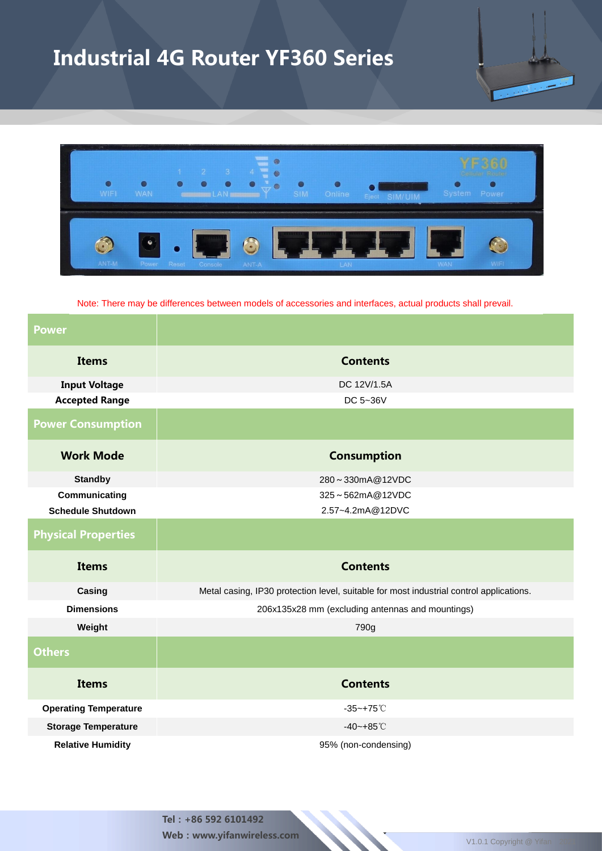

Note: There may be differences between models of accessories and interfaces, actual products shall prevail.

| <b>Power</b>                 |                                                                                         |  |  |  |  |  |
|------------------------------|-----------------------------------------------------------------------------------------|--|--|--|--|--|
| <b>Items</b>                 | <b>Contents</b>                                                                         |  |  |  |  |  |
| <b>Input Voltage</b>         | DC 12V/1.5A                                                                             |  |  |  |  |  |
| <b>Accepted Range</b>        | DC 5~36V                                                                                |  |  |  |  |  |
| <b>Power Consumption</b>     |                                                                                         |  |  |  |  |  |
| <b>Work Mode</b>             | <b>Consumption</b>                                                                      |  |  |  |  |  |
| <b>Standby</b>               | 280~330mA@12VDC                                                                         |  |  |  |  |  |
| Communicating                | 325~562mA@12VDC                                                                         |  |  |  |  |  |
| <b>Schedule Shutdown</b>     | 2.57~4.2mA@12DVC                                                                        |  |  |  |  |  |
| <b>Physical Properties</b>   |                                                                                         |  |  |  |  |  |
| <b>Items</b>                 | <b>Contents</b>                                                                         |  |  |  |  |  |
| Casing                       | Metal casing, IP30 protection level, suitable for most industrial control applications. |  |  |  |  |  |
| <b>Dimensions</b>            | 206x135x28 mm (excluding antennas and mountings)                                        |  |  |  |  |  |
| Weight                       | 790g                                                                                    |  |  |  |  |  |
| <b>Others</b>                |                                                                                         |  |  |  |  |  |
| <b>Items</b>                 | <b>Contents</b>                                                                         |  |  |  |  |  |
| <b>Operating Temperature</b> | $-35 - +75^{\circ}$ C                                                                   |  |  |  |  |  |
| <b>Storage Temperature</b>   | $-40 - +85^{\circ}$ C                                                                   |  |  |  |  |  |
| <b>Relative Humidity</b>     | 95% (non-condensing)                                                                    |  |  |  |  |  |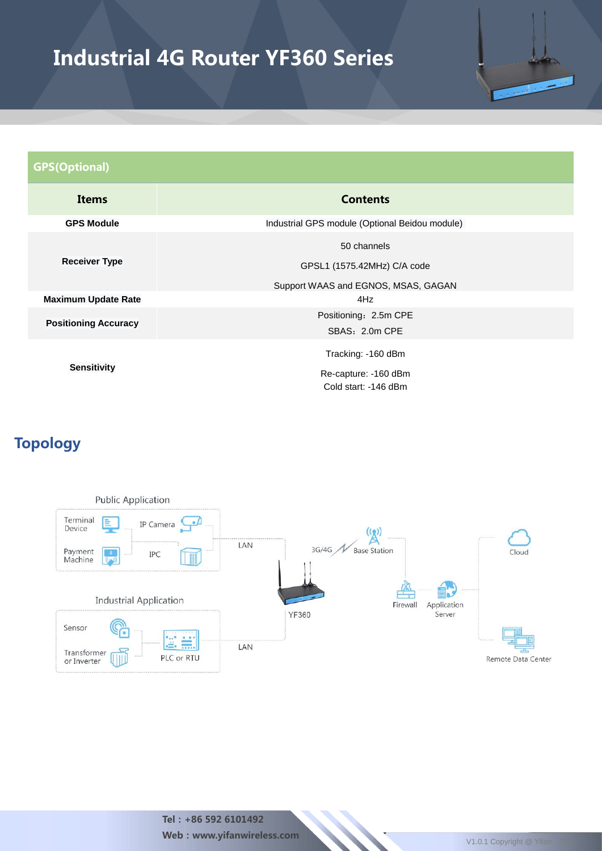

| <b>GPS(Optional)</b>        |                                                |  |  |  |  |  |
|-----------------------------|------------------------------------------------|--|--|--|--|--|
| <b>Items</b>                | <b>Contents</b>                                |  |  |  |  |  |
| <b>GPS Module</b>           | Industrial GPS module (Optional Beidou module) |  |  |  |  |  |
|                             | 50 channels                                    |  |  |  |  |  |
| <b>Receiver Type</b>        | GPSL1 (1575.42MHz) C/A code                    |  |  |  |  |  |
|                             | Support WAAS and EGNOS, MSAS, GAGAN            |  |  |  |  |  |
| <b>Maximum Update Rate</b>  | 4Hz                                            |  |  |  |  |  |
| <b>Positioning Accuracy</b> | Positioning: 2.5m CPE                          |  |  |  |  |  |
|                             | SBAS: 2.0m CPE                                 |  |  |  |  |  |
| <b>Sensitivity</b>          | Tracking: -160 dBm                             |  |  |  |  |  |
|                             | Re-capture: -160 dBm                           |  |  |  |  |  |
|                             | Cold start: -146 dBm                           |  |  |  |  |  |

### Topology



Tel:+86 592 6101492 Web : www.yifanwireless.com V1.0.1 Copyright @ Yifan